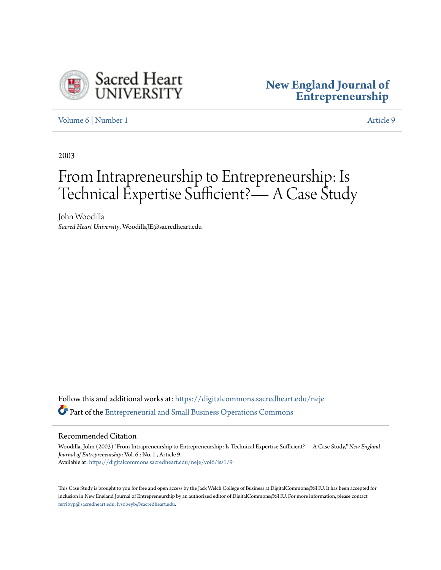

# **[New England Journal of](https://digitalcommons.sacredheart.edu/neje?utm_source=digitalcommons.sacredheart.edu%2Fneje%2Fvol6%2Fiss1%2F9&utm_medium=PDF&utm_campaign=PDFCoverPages) [Entrepreneurship](https://digitalcommons.sacredheart.edu/neje?utm_source=digitalcommons.sacredheart.edu%2Fneje%2Fvol6%2Fiss1%2F9&utm_medium=PDF&utm_campaign=PDFCoverPages)**

[Volume 6](https://digitalcommons.sacredheart.edu/neje/vol6?utm_source=digitalcommons.sacredheart.edu%2Fneje%2Fvol6%2Fiss1%2F9&utm_medium=PDF&utm_campaign=PDFCoverPages) | [Number 1](https://digitalcommons.sacredheart.edu/neje/vol6/iss1?utm_source=digitalcommons.sacredheart.edu%2Fneje%2Fvol6%2Fiss1%2F9&utm_medium=PDF&utm_campaign=PDFCoverPages) [Article 9](https://digitalcommons.sacredheart.edu/neje/vol6/iss1/9?utm_source=digitalcommons.sacredheart.edu%2Fneje%2Fvol6%2Fiss1%2F9&utm_medium=PDF&utm_campaign=PDFCoverPages)

2003

# From Intrapreneurship to Entrepreneurship: Is Technical Expertise Sufficient? - A Case Study

John Woodilla *Sacred Heart University*, WoodillaJE@sacredheart.edu

Follow this and additional works at: [https://digitalcommons.sacredheart.edu/neje](https://digitalcommons.sacredheart.edu/neje?utm_source=digitalcommons.sacredheart.edu%2Fneje%2Fvol6%2Fiss1%2F9&utm_medium=PDF&utm_campaign=PDFCoverPages) Part of the [Entrepreneurial and Small Business Operations Commons](http://network.bepress.com/hgg/discipline/630?utm_source=digitalcommons.sacredheart.edu%2Fneje%2Fvol6%2Fiss1%2F9&utm_medium=PDF&utm_campaign=PDFCoverPages)

#### Recommended Citation

Woodilla, John (2003) "From Intrapreneurship to Entrepreneurship: Is Technical Expertise Sufficient?— A Case Study," *New England Journal of Entrepreneurship*: Vol. 6 : No. 1 , Article 9. Available at: [https://digitalcommons.sacredheart.edu/neje/vol6/iss1/9](https://digitalcommons.sacredheart.edu/neje/vol6/iss1/9?utm_source=digitalcommons.sacredheart.edu%2Fneje%2Fvol6%2Fiss1%2F9&utm_medium=PDF&utm_campaign=PDFCoverPages)

This Case Study is brought to you for free and open access by the Jack Welch College of Business at DigitalCommons@SHU. It has been accepted for inclusion in New England Journal of Entrepreneurship by an authorized editor of DigitalCommons@SHU. For more information, please contact [ferribyp@sacredheart.edu, lysobeyb@sacredheart.edu.](mailto:ferribyp@sacredheart.edu,%20lysobeyb@sacredheart.edu)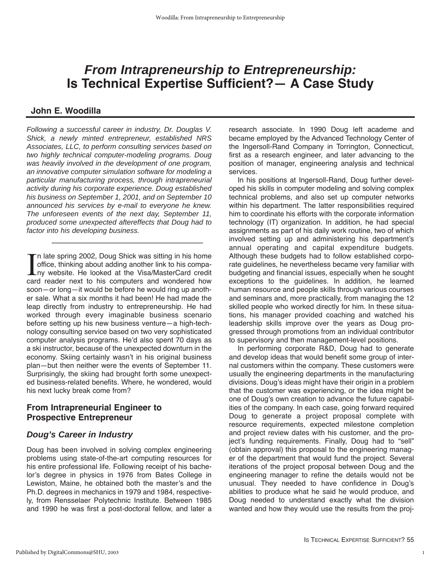# **From Intrapreneurship to Entrepreneurship: Is Technical Expertise Sufficient?— A Case Study**

#### **John E. Woodilla**

Following a successful career in industry, Dr. Douglas V. Shick, a newly minted entrepreneur, established NRS Associates, LLC, to perform consulting services based on two highly technical computer-modeling programs. Doug was heavily involved in the development of one program, an innovative computer simulation software for modeling a particular manufacturing process, through intrapreneurial activity during his corporate experience. Doug established his business on September 1, 2001, and on September 10 announced his services by e-mail to everyone he knew. The unforeseen events of the next day, September 11, produced some unexpected aftereffects that Doug had to factor into his developing business.

In late spring 2002, Doug Shick was sitting in his home<br>office, thinking about adding another link to his compa-<br>ny website. He looked at the Visa/MasterCard credit n late spring 2002, Doug Shick was sitting in his home office, thinking about adding another link to his compacard reader next to his computers and wondered how soon—or long—it would be before he would ring up another sale. What a six months it had been! He had made the leap directly from industry to entrepreneurship. He had worked through every imaginable business scenario before setting up his new business venture—a high-technology consulting service based on two very sophisticated computer analysis programs. He'd also spent 70 days as a ski instructor, because of the unexpected downturn in the economy. Skiing certainly wasn't in his original business plan—but then neither were the events of September 11. Surprisingly, the skiing had brought forth some unexpected business-related benefits. Where, he wondered, would his next lucky break come from?

#### **From Intrapreneurial Engineer to Prospective Entrepreneur**

#### **Doug's Career in Industry**

Doug has been involved in solving complex engineering problems using state-of-the-art computing resources for his entire professional life. Following receipt of his bachelor's degree in physics in 1976 from Bates College in Lewiston, Maine, he obtained both the master's and the Ph.D. degrees in mechanics in 1979 and 1984, respectively, from Rensselaer Polytechnic Institute. Between 1985 and 1990 he was first a post-doctoral fellow, and later a

research associate. In 1990 Doug left academe and became employed by the Advanced Technology Center of the Ingersoll-Rand Company in Torrington, Connecticut, first as a research engineer, and later advancing to the position of manager, engineering analysis and technical services.

In his positions at Ingersoll-Rand, Doug further developed his skills in computer modeling and solving complex technical problems, and also set up computer networks within his department. The latter responsibilities required him to coordinate his efforts with the corporate information technology (IT) organization. In addition, he had special assignments as part of his daily work routine, two of which involved setting up and administering his department's annual operating and capital expenditure budgets. Although these budgets had to follow established corporate guidelines, he nevertheless became very familiar with budgeting and financial issues, especially when he sought exceptions to the guidelines. In addition, he learned human resource and people skills through various courses and seminars and, more practically, from managing the 12 skilled people who worked directly for him. In these situations, his manager provided coaching and watched his leadership skills improve over the years as Doug progressed through promotions from an individual contributor to supervisory and then management-level positions.

In performing corporate R&D, Doug had to generate and develop ideas that would benefit some group of internal customers within the company. These customers were usually the engineering departments in the manufacturing divisions. Doug's ideas might have their origin in a problem that the customer was experiencing, or the idea might be one of Doug's own creation to advance the future capabilities of the company. In each case, going forward required Doug to generate a project proposal complete with resource requirements, expected milestone completion and project review dates with his customer, and the project's funding requirements. Finally, Doug had to "sell" (obtain approval) this proposal to the engineering manager of the department that would fund the project. Several iterations of the project proposal between Doug and the engineering manager to refine the details would not be unusual. They needed to have confidence in Doug's abilities to produce what he said he would produce, and Doug needed to understand exactly what the division wanted and how they would use the results from the proj-

1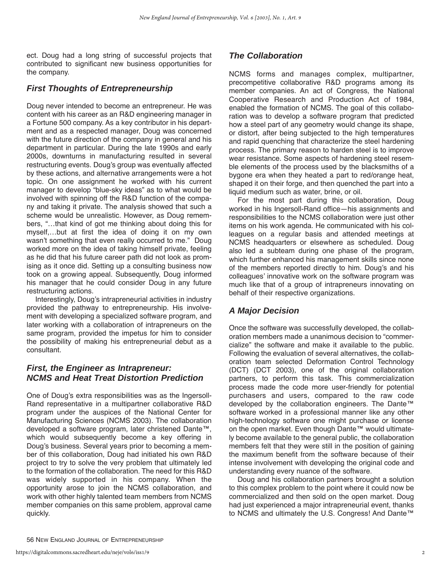ect. Doug had a long string of successful projects that contributed to significant new business opportunities for the company.

# **First Thoughts of Entrepreneurship**

Doug never intended to become an entrepreneur. He was content with his career as an R&D engineering manager in a Fortune 500 company. As a key contributor in his department and as a respected manager, Doug was concerned with the future direction of the company in general and his department in particular. During the late 1990s and early 2000s, downturns in manufacturing resulted in several restructuring events. Doug's group was eventually affected by these actions, and alternative arrangements were a hot topic. On one assignment he worked with his current manager to develop "blue-sky ideas" as to what would be involved with spinning off the R&D function of the company and taking it private. The analysis showed that such a scheme would be unrealistic. However, as Doug remembers, "…that kind of got me thinking about doing this for myself,…but at first the idea of doing it on my own wasn't something that even really occurred to me." Doug worked more on the idea of taking himself private, feeling as he did that his future career path did not look as promising as it once did. Setting up a consulting business now took on a growing appeal. Subsequently, Doug informed his manager that he could consider Doug in any future restructuring actions.

Interestingly, Doug's intrapreneurial activities in industry provided the pathway to entrepreneurship. His involvement with developing a specialized software program, and later working with a collaboration of intrapreneurs on the same program, provided the impetus for him to consider the possibility of making his entrepreneurial debut as a consultant.

#### **First, the Engineer as Intrapreneur: NCMS and Heat Treat Distortion Prediction**

One of Doug's extra responsibilities was as the Ingersoll-Rand representative in a multipartner collaborative R&D program under the auspices of the National Center for Manufacturing Sciences (NCMS 2003). The collaboration developed a software program, later christened Dante™, which would subsequently become a key offering in Doug's business. Several years prior to becoming a member of this collaboration, Doug had initiated his own R&D project to try to solve the very problem that ultimately led to the formation of the collaboration. The need for this R&D was widely supported in his company. When the opportunity arose to join the NCMS collaboration, and work with other highly talented team members from NCMS member companies on this same problem, approval came quickly.

### **The Collaboration**

NCMS forms and manages complex, multipartner, precompetitive collaborative R&D programs among its member companies. An act of Congress, the National Cooperative Research and Production Act of 1984, enabled the formation of NCMS. The goal of this collaboration was to develop a software program that predicted how a steel part of any geometry would change its shape, or distort, after being subjected to the high temperatures and rapid quenching that characterize the steel hardening process. The primary reason to harden steel is to improve wear resistance. Some aspects of hardening steel resemble elements of the process used by the blacksmiths of a bygone era when they heated a part to red/orange heat, shaped it on their forge, and then quenched the part into a liquid medium such as water, brine, or oil.

For the most part during this collaboration, Doug worked in his Ingersoll-Rand office—his assignments and responsibilities to the NCMS collaboration were just other items on his work agenda. He communicated with his colleagues on a regular basis and attended meetings at NCMS headquarters or elsewhere as scheduled. Doug also led a subteam during one phase of the program, which further enhanced his management skills since none of the members reported directly to him. Doug's and his colleagues' innovative work on the software program was much like that of a group of intrapreneurs innovating on behalf of their respective organizations.

# **A Major Decision**

Once the software was successfully developed, the collaboration members made a unanimous decision to "commercialize" the software and make it available to the public. Following the evaluation of several alternatives, the collaboration team selected Deformation Control Technology (DCT) (DCT 2003), one of the original collaboration partners, to perform this task. This commercialization process made the code more user-friendly for potential purchasers and users, compared to the raw code developed by the collaboration engineers. The Dante™ software worked in a professional manner like any other high-technology software one might purchase or license on the open market. Even though Dante™ would ultimately become available to the general public, the collaboration members felt that they were still in the position of gaining the maximum benefit from the software because of their intense involvement with developing the original code and understanding every nuance of the software.

Doug and his collaboration partners brought a solution to this complex problem to the point where it could now be commercialized and then sold on the open market. Doug had just experienced a major intrapreneurial event, thanks to NCMS and ultimately the U.S. Congress! And Dante™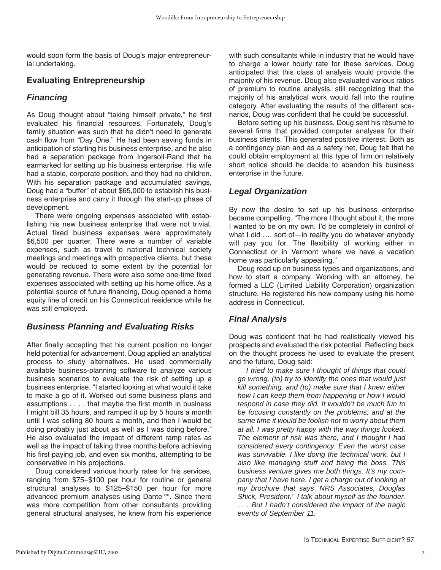would soon form the basis of Doug's major entrepreneurial undertaking.

#### **Evaluating Entrepreneurship**

#### **Financing**

As Doug thought about "taking himself private," he first evaluated his financial resources. Fortunately, Doug's family situation was such that he didn't need to generate cash flow from "Day One." He had been saving funds in anticipation of starting his business enterprise, and he also had a separation package from Ingersoll-Rand that he earmarked for setting up his business enterprise. His wife had a stable, corporate position, and they had no children. With his separation package and accumulated savings, Doug had a "buffer" of about \$65,000 to establish his business enterprise and carry it through the start-up phase of development.

There were ongoing expenses associated with establishing his new business enterprise that were not trivial. Actual fixed business expenses were approximately \$6,500 per quarter. There were a number of variable expenses, such as travel to national technical society meetings and meetings with prospective clients, but these would be reduced to some extent by the potential for generating revenue. There were also some one-time fixed expenses associated with setting up his home office. As a potential source of future financing, Doug opened a home equity line of credit on his Connecticut residence while he was still employed.

# **Business Planning and Evaluating Risks**

After finally accepting that his current position no longer held potential for advancement, Doug applied an analytical process to study alternatives. He used commercially available business-planning software to analyze various business scenarios to evaluate the risk of setting up a business enterprise. "I started looking at what would it take to make a go of it. Worked out some business plans and assumptions . . . . that maybe the first month in business I might bill 35 hours, and ramped it up by 5 hours a month until I was selling 80 hours a month, and then I would be doing probably just about as well as I was doing before." He also evaluated the impact of different ramp rates as well as the impact of taking three months before achieving his first paying job, and even six months, attempting to be conservative in his projections.

Doug considered various hourly rates for his services, ranging from \$75–\$100 per hour for routine or general structural analyses to \$125–\$150 per hour for more advanced premium analyses using Dante™. Since there was more competition from other consultants providing general structural analyses, he knew from his experience with such consultants while in industry that he would have to charge a lower hourly rate for these services. Doug anticipated that this class of analysis would provide the majority of his revenue. Doug also evaluated various ratios of premium to routine analysis, still recognizing that the majority of his analytical work would fall into the routine category. After evaluating the results of the different scenarios, Doug was confident that he could be successful.

Before setting up his business, Doug sent his résumé to several firms that provided computer analyses for their business clients. This generated positive interest. Both as a contingency plan and as a safety net, Doug felt that he could obtain employment at this type of firm on relatively short notice should he decide to abandon his business enterprise in the future.

# **Legal Organization**

By now the desire to set up his business enterprise became compelling. "The more I thought about it, the more I wanted to be on my own. I'd be completely in control of what I did …. sort of—in reality you do whatever anybody will pay you for. The flexibility of working either in Connecticut or in Vermont where we have a vacation home was particularly appealing."

Doug read up on business types and organizations, and how to start a company. Working with an attorney, he formed a LLC (Limited Liability Corporation) organization structure. He registered his new company using his home address in Connecticut.

# **Final Analysis**

Doug was confident that he had realistically viewed his prospects and evaluated the risk potential. Reflecting back on the thought process he used to evaluate the present and the future, Doug said:

I tried to make sure I thought of things that could go wrong, (to) try to identify the ones that would just kill something, and (to) make sure that I knew either how I can keep them from happening or how I would respond in case they did. It wouldn't be much fun to be focusing constantly on the problems, and at the same time it would be foolish not to worry about them at all. I was pretty happy with the way things looked. The element of risk was there, and I thought I had considered every contingency. Even the worst case was survivable. I like doing the technical work, but I also like managing stuff and being the boss. This business venture gives me both things. It's my company that I have here. I get a charge out of looking at my brochure that says 'NRS Associates, Douglas Shick, President.' I talk about myself as the founder. . . . But I hadn't considered the impact of the tragic events of September 11.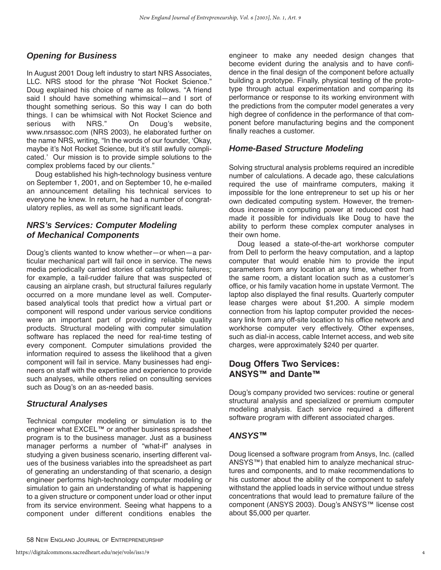# **Opening for Business**

In August 2001 Doug left industry to start NRS Associates, LLC. NRS stood for the phrase "Not Rocket Science." Doug explained his choice of name as follows. "A friend said I should have something whimsical—and I sort of thought something serious. So this way I can do both things. I can be whimsical with Not Rocket Science and serious with NRS." On Doug's website, www.nrsassoc.com (NRS 2003), he elaborated further on the name NRS, writing, "In the words of our founder, 'Okay, maybe it's Not Rocket Science, but it's still awfully complicated.' Our mission is to provide simple solutions to the complex problems faced by our clients."

Doug established his high-technology business venture on September 1, 2001, and on September 10, he e-mailed an announcement detailing his technical services to everyone he knew. In return, he had a number of congratulatory replies, as well as some significant leads.

#### **NRS's Services: Computer Modeling of Mechanical Components**

Doug's clients wanted to know whether—or when—a particular mechanical part will fail once in service. The news media periodically carried stories of catastrophic failures; for example, a tail-rudder failure that was suspected of causing an airplane crash, but structural failures regularly occurred on a more mundane level as well. Computerbased analytical tools that predict how a virtual part or component will respond under various service conditions were an important part of providing reliable quality products. Structural modeling with computer simulation software has replaced the need for real-time testing of every component. Computer simulations provided the information required to assess the likelihood that a given component will fail in service. Many businesses had engineers on staff with the expertise and experience to provide such analyses, while others relied on consulting services such as Doug's on an as-needed basis.

#### **Structural Analyses**

Technical computer modeling or simulation is to the engineer what EXCEL™ or another business spreadsheet program is to the business manager. Just as a business manager performs a number of "what-if" analyses in studying a given business scenario, inserting different values of the business variables into the spreadsheet as part of generating an understanding of that scenario, a design engineer performs high-technology computer modeling or simulation to gain an understanding of what is happening to a given structure or component under load or other input from its service environment. Seeing what happens to a component under different conditions enables the

engineer to make any needed design changes that become evident during the analysis and to have confidence in the final design of the component before actually building a prototype. Finally, physical testing of the prototype through actual experimentation and comparing its performance or response to its working environment with the predictions from the computer model generates a very high degree of confidence in the performance of that component before manufacturing begins and the component finally reaches a customer.

#### **Home-Based Structure Modeling**

Solving structural analysis problems required an incredible number of calculations. A decade ago, these calculations required the use of mainframe computers, making it impossible for the lone entrepreneur to set up his or her own dedicated computing system. However, the tremendous increase in computing power at reduced cost had made it possible for individuals like Doug to have the ability to perform these complex computer analyses in their own home.

Doug leased a state-of-the-art workhorse computer from Dell to perform the heavy computation, and a laptop computer that would enable him to provide the input parameters from any location at any time, whether from the same room, a distant location such as a customer's office, or his family vacation home in upstate Vermont. The laptop also displayed the final results. Quarterly computer lease charges were about \$1,200. A simple modem connection from his laptop computer provided the necessary link from any off-site location to his office network and workhorse computer very effectively. Other expenses, such as dial-in access, cable Internet access, and web site charges, were approximately \$240 per quarter.

#### **Doug Offers Two Services: ANSYS™ and Dante™**

Doug's company provided two services: routine or general structural analysis and specialized or premium computer modeling analysis. Each service required a different software program with different associated charges.

#### **ANSYS™**

Doug licensed a software program from Ansys, Inc. (called ANSYS™) that enabled him to analyze mechanical structures and components, and to make recommendations to his customer about the ability of the component to safely withstand the applied loads in service without undue stress concentrations that would lead to premature failure of the component (ANSYS 2003). Doug's ANSYS™ license cost about \$5,000 per quarter.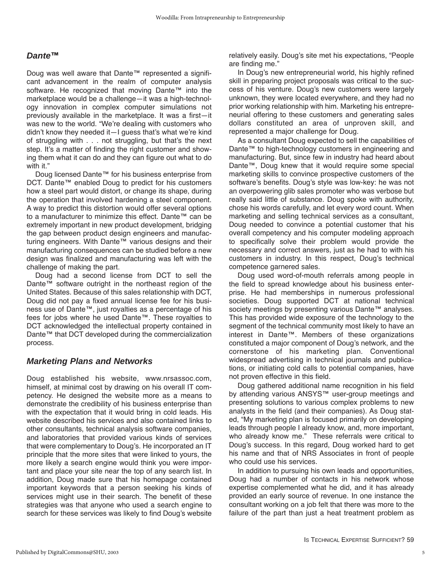#### **Dante™**

Doug was well aware that Dante™ represented a significant advancement in the realm of computer analysis software. He recognized that moving Dante™ into the marketplace would be a challenge—it was a high-technology innovation in complex computer simulations not previously available in the marketplace. It was a first—it was new to the world. "We're dealing with customers who didn't know they needed it—I guess that's what we're kind of struggling with . . . not struggling, but that's the next step. It's a matter of finding the right customer and showing them what it can do and they can figure out what to do with it."

Doug licensed Dante™ for his business enterprise from DCT. Dante™ enabled Doug to predict for his customers how a steel part would distort, or change its shape, during the operation that involved hardening a steel component. A way to predict this distortion would offer several options to a manufacturer to minimize this effect. Dante™ can be extremely important in new product development, bridging the gap between product design engineers and manufacturing engineers. With Dante™ various designs and their manufacturing consequences can be studied before a new design was finalized and manufacturing was left with the challenge of making the part.

Doug had a second license from DCT to sell the Dante™ software outright in the northeast region of the United States. Because of this sales relationship with DCT, Doug did not pay a fixed annual license fee for his business use of Dante™, just royalties as a percentage of his fees for jobs where he used Dante™. These royalties to DCT acknowledged the intellectual property contained in Dante™ that DCT developed during the commercialization process.

#### **Marketing Plans and Networks**

Doug established his website, www.nrsassoc.com, himself, at minimal cost by drawing on his overall IT competency. He designed the website more as a means to demonstrate the credibility of his business enterprise than with the expectation that it would bring in cold leads. His website described his services and also contained links to other consultants, technical analysis software companies, and laboratories that provided various kinds of services that were complementary to Doug's. He incorporated an IT principle that the more sites that were linked to yours, the more likely a search engine would think you were important and place your site near the top of any search list. In addition, Doug made sure that his homepage contained important keywords that a person seeking his kinds of services might use in their search. The benefit of these strategies was that anyone who used a search engine to search for these services was likely to find Doug's website

relatively easily. Doug's site met his expectations, "People are finding me."

In Doug's new entrepreneurial world, his highly refined skill in preparing project proposals was critical to the success of his venture. Doug's new customers were largely unknown, they were located everywhere, and they had no prior working relationship with him. Marketing his entrepreneurial offering to these customers and generating sales dollars constituted an area of unproven skill, and represented a major challenge for Doug.

As a consultant Doug expected to sell the capabilities of Dante™ to high-technology customers in engineering and manufacturing. But, since few in industry had heard about Dante™, Doug knew that it would require some special marketing skills to convince prospective customers of the software's benefits. Doug's style was low-key: he was not an overpowering glib sales promoter who was verbose but really said little of substance. Doug spoke with authority, chose his words carefully, and let every word count. When marketing and selling technical services as a consultant, Doug needed to convince a potential customer that his overall competency and his computer modeling approach to specifically solve their problem would provide the necessary and correct answers, just as he had to with his customers in industry. In this respect, Doug's technical competence garnered sales.

Doug used word-of-mouth referrals among people in the field to spread knowledge about his business enterprise. He had memberships in numerous professional societies. Doug supported DCT at national technical society meetings by presenting various Dante™ analyses. This has provided wide exposure of the technology to the segment of the technical community most likely to have an interest in Dante™. Members of these organizations constituted a major component of Doug's network, and the cornerstone of his marketing plan. Conventional widespread advertising in technical journals and publications, or initiating cold calls to potential companies, have not proven effective in this field.

Doug gathered additional name recognition in his field by attending various ANSYS™ user-group meetings and presenting solutions to various complex problems to new analysts in the field (and their companies). As Doug stated, "My marketing plan is focused primarily on developing leads through people I already know, and, more important, who already know me." These referrals were critical to Doug's success. In this regard, Doug worked hard to get his name and that of NRS Associates in front of people who could use his services.

In addition to pursuing his own leads and opportunities, Doug had a number of contacts in his network whose expertise complemented what he did, and it has already provided an early source of revenue. In one instance the consultant working on a job felt that there was more to the failure of the part than just a heat treatment problem as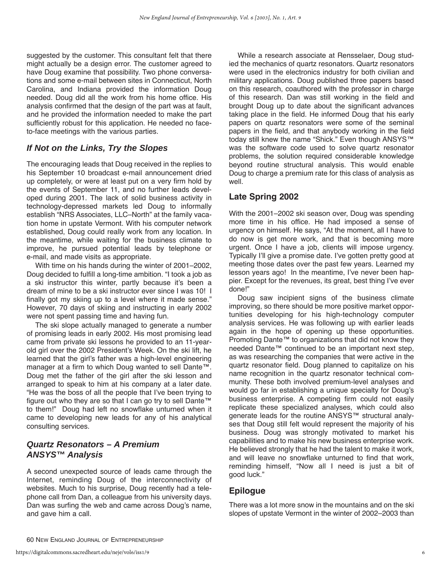suggested by the customer. This consultant felt that there might actually be a design error. The customer agreed to have Doug examine that possibility. Two phone conversations and some e-mail between sites in Connecticut, North Carolina, and Indiana provided the information Doug needed. Doug did all the work from his home office. His analysis confirmed that the design of the part was at fault, and he provided the information needed to make the part sufficiently robust for this application. He needed no faceto-face meetings with the various parties.

# **If Not on the Links, Try the Slopes**

The encouraging leads that Doug received in the replies to his September 10 broadcast e-mail announcement dried up completely, or were at least put on a very firm hold by the events of September 11, and no further leads developed during 2001. The lack of solid business activity in technology-depressed markets led Doug to informally establish "NRS Associates, LLC–North" at the family vacation home in upstate Vermont. With his computer network established, Doug could really work from any location. In the meantime, while waiting for the business climate to improve, he pursued potential leads by telephone or e-mail, and made visits as appropriate.

With time on his hands during the winter of 2001–2002, Doug decided to fulfill a long-time ambition. "I took a job as a ski instructor this winter, partly because it's been a dream of mine to be a ski instructor ever since I was 10! I finally got my skiing up to a level where it made sense." However, 70 days of skiing and instructing in early 2002 were not spent passing time and having fun.

The ski slope actually managed to generate a number of promising leads in early 2002. His most promising lead came from private ski lessons he provided to an 11-yearold girl over the 2002 President's Week. On the ski lift, he learned that the girl's father was a high-level engineering manager at a firm to which Doug wanted to sell Dante™. Doug met the father of the girl after the ski lesson and arranged to speak to him at his company at a later date. "He was the boss of all the people that I've been trying to figure out who they are so that I can go try to sell Dante™ to them!" Doug had left no snowflake unturned when it came to developing new leads for any of his analytical consulting services.

# **Quartz Resonators – A Premium ANSYS™ Analysis**

A second unexpected source of leads came through the Internet, reminding Doug of the interconnectivity of websites. Much to his surprise, Doug recently had a telephone call from Dan, a colleague from his university days. Dan was surfing the web and came across Doug's name, and gave him a call.

While a research associate at Rensselaer, Doug studied the mechanics of quartz resonators. Quartz resonators were used in the electronics industry for both civilian and military applications. Doug published three papers based on this research, coauthored with the professor in charge of this research. Dan was still working in the field and brought Doug up to date about the significant advances taking place in the field. He informed Doug that his early papers on quartz resonators were some of the seminal papers in the field, and that anybody working in the field today still knew the name "Shick." Even though ANSYS™ was the software code used to solve quartz resonator problems, the solution required considerable knowledge beyond routine structural analysis. This would enable Doug to charge a premium rate for this class of analysis as well.

# **Late Spring 2002**

With the 2001–2002 ski season over, Doug was spending more time in his office. He had imposed a sense of urgency on himself. He says, "At the moment, all I have to do now is get more work, and that is becoming more urgent. Once I have a job, clients will impose urgency. Typically I'll give a promise date. I've gotten pretty good at meeting those dates over the past few years. Learned my lesson years ago! In the meantime, I've never been happier. Except for the revenues, its great, best thing I've ever done!"

Doug saw incipient signs of the business climate improving, so there should be more positive market opportunities developing for his high-technology computer analysis services. He was following up with earlier leads again in the hope of opening up these opportunities. Promoting Dante™ to organizations that did not know they needed Dante™ continued to be an important next step, as was researching the companies that were active in the quartz resonator field. Doug planned to capitalize on his name recognition in the quartz resonator technical community. These both involved premium-level analyses and would go far in establishing a unique specialty for Doug's business enterprise. A competing firm could not easily replicate these specialized analyses, which could also generate leads for the routine ANSYS™ structural analyses that Doug still felt would represent the majority of his business. Doug was strongly motivated to market his capabilities and to make his new business enterprise work. He believed strongly that he had the talent to make it work, and will leave no snowflake unturned to find that work, reminding himself, "Now all I need is just a bit of good luck."

# **Epilogue**

There was a lot more snow in the mountains and on the ski slopes of upstate Vermont in the winter of 2002–2003 than